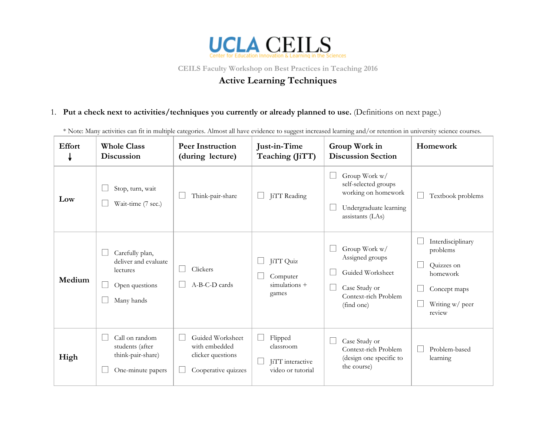

**CEILS Faculty Workshop on Best Practices in Teaching 2016**

## **Active Learning Techniques**

1. **Put a check next to activities/techniques you currently or already planned to use.** (Definitions on next page.)

\* Note: Many activities can fit in multiple categories. Almost all have evidence to suggest increased learning and/or retention in university science courses.

| <b>Effort</b> | <b>Whole Class</b><br><b>Discussion</b>                                             | <b>Peer Instruction</b><br>(during lecture)                                   | Just-in-Time<br>Teaching (JiTT)                               | Group Work in<br><b>Discussion Section</b>                                                                  | Homework                                                                                             |
|---------------|-------------------------------------------------------------------------------------|-------------------------------------------------------------------------------|---------------------------------------------------------------|-------------------------------------------------------------------------------------------------------------|------------------------------------------------------------------------------------------------------|
| Low           | Stop, turn, wait<br>Wait-time (7 sec.)                                              | Think-pair-share                                                              | JiTT Reading                                                  | Group Work w/<br>self-selected groups<br>working on homework<br>Undergraduate learning<br>assistants (LAs)  | Textbook problems                                                                                    |
| Medium        | Carefully plan,<br>deliver and evaluate<br>lectures<br>Open questions<br>Many hands | Clickers<br>A-B-C-D cards                                                     | JiTT Quiz<br>Computer<br>$simulations +$<br>games             | Group Work w/<br>Assigned groups<br>Guided Worksheet<br>Case Study or<br>Context-rich Problem<br>(find one) | Interdisciplinary<br>problems<br>Quizzes on<br>homework<br>Concept maps<br>Writing w/ peer<br>review |
| High          | Call on random<br>students (after<br>think-pair-share)<br>One-minute papers         | Guided Worksheet<br>with embedded<br>clicker questions<br>Cooperative quizzes | Flipped<br>classroom<br>JiTT interactive<br>video or tutorial | Case Study or<br>Context-rich Problem<br>(design one specific to<br>the course)                             | Problem-based<br>learning                                                                            |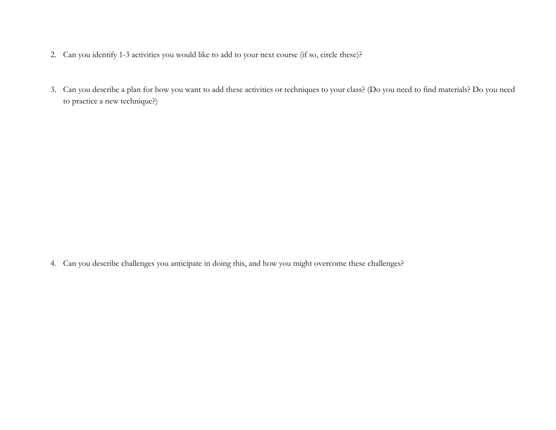- 2. Can you identify 1-3 activities you would like to add to your next course (if so, circle these)?
- 3. Can you describe a plan for how you want to add these activities or techniques to your class? (Do you need to find materials? Do you need to practice a new technique?)

4. Can you describe challenges you anticipate in doing this, and how you might overcome these challenges?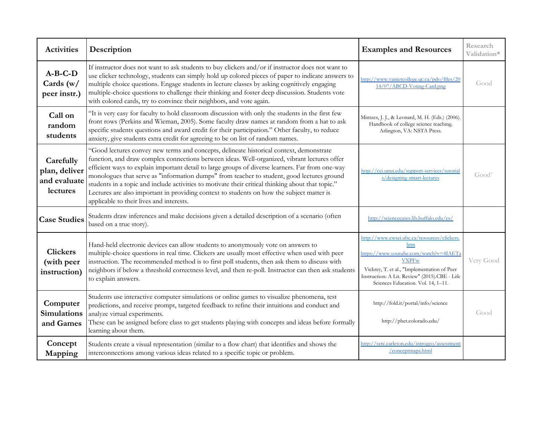| <b>Activities</b>                                      | Description                                                                                                                                                                                                                                                                                                                                                                                                                                                                                                                                                                                                                             | <b>Examples and Resources</b>                                                                                                                                                                                                                      | Research<br>Validation* |
|--------------------------------------------------------|-----------------------------------------------------------------------------------------------------------------------------------------------------------------------------------------------------------------------------------------------------------------------------------------------------------------------------------------------------------------------------------------------------------------------------------------------------------------------------------------------------------------------------------------------------------------------------------------------------------------------------------------|----------------------------------------------------------------------------------------------------------------------------------------------------------------------------------------------------------------------------------------------------|-------------------------|
| $A-B-C-D$<br>Cards $(w/$<br>peer instr.)               | If instructor does not want to ask students to buy clickers and/or if instructor does not want to<br>use clicker technology, students can simply hold up colored pieces of paper to indicate answers to<br>multiple choice questions. Engage students in lecture classes by asking cognitively engaging<br>multiple-choice questions to challenge their thinking and foster deep discussion. Students vote<br>with colored cards, try to convince their neighbors, and vote again.                                                                                                                                                      | http://www.vaniercollege.qc.ca/pdo/files/20<br>14/07/ABCD-Voting-Card.png                                                                                                                                                                          | Good                    |
| Call on<br>random<br>students                          | "It is very easy for faculty to hold classroom discussion with only the students in the first few<br>front rows (Perkins and Wieman, 2005). Some faculty draw names at random from a hat to ask<br>specific students questions and award credit for their participation." Other faculty, to reduce<br>anxiety, give students extra credit for agreeing to be on list of random names.                                                                                                                                                                                                                                                   | Mintzes, J. J., & Leonard, M. H. (Eds.) (2006).<br>Handbook of college science teaching.<br>Arlington, VA: NSTA Press.                                                                                                                             |                         |
| Carefully<br>plan, deliver<br>and evaluate<br>lectures | "Good lectures convey new terms and concepts, delineate historical context, demonstrate<br>function, and draw complex connections between ideas. Well-organized, vibrant lectures offer<br>efficient ways to explain important detail to large groups of diverse learners. Far from one-way<br>monologues that serve as "information dumps" from teacher to student, good lectures ground<br>students in a topic and include activities to motivate their critical thinking about that topic."<br>Lectures are also important in providing context to students on how the subject matter is<br>applicable to their lives and interests. | http://cei.umn.edu/support-services/tutorial<br>s/designing-smart-lectures                                                                                                                                                                         | $Good+$                 |
| <b>Case Studies</b>                                    | Students draw inferences and make decisions given a detailed description of a scenario (often<br>based on a true story).                                                                                                                                                                                                                                                                                                                                                                                                                                                                                                                | http://sciencecases.lib.buffalo.edu/cs/                                                                                                                                                                                                            |                         |
| <b>Clickers</b><br>(with peer<br>instruction)          | Hand-held electronic devices can allow students to anonymously vote on answers to<br>multiple-choice questions in real time. Clickers are usually most effective when used with peer<br>instruction. The recommended method is to first poll students, then ask them to discuss with<br>neighbors if below a threshold correctness level, and then re-poll. Instructor can then ask students<br>to explain answers.                                                                                                                                                                                                                     | http://www.cwsei.ubc.ca/resources/clickers.<br>htm<br>https://www.youtube.com/watch?v=4IAETa<br><b>VXPFw</b><br>Vickrey, T. et al., "Implementation of Peer<br>Instruction: A Lit. Review" (2015).CBE - Life<br>Sciences Education. Vol. 14, 1-11. | Very Good               |
| Computer<br><b>Simulations</b><br>and Games            | Students use interactive computer simulations or online games to visualize phenomena, test<br>predictions, and receive prompt, targeted feedback to refine their intuitions and conduct and<br>analyze virtual experiments.<br>These can be assigned before class to get students playing with concepts and ideas before formally<br>learning about them.                                                                                                                                                                                                                                                                               | http://fold.it/portal/info/science<br>http://phet.colorado.edu/                                                                                                                                                                                    | Good                    |
| Concept<br>Mapping                                     | Students create a visual representation (similar to a flow chart) that identifies and shows the<br>interconnections among various ideas related to a specific topic or problem.                                                                                                                                                                                                                                                                                                                                                                                                                                                         | http://serc.carleton.edu/introgeo/assessment<br>/conceptmaps.html                                                                                                                                                                                  |                         |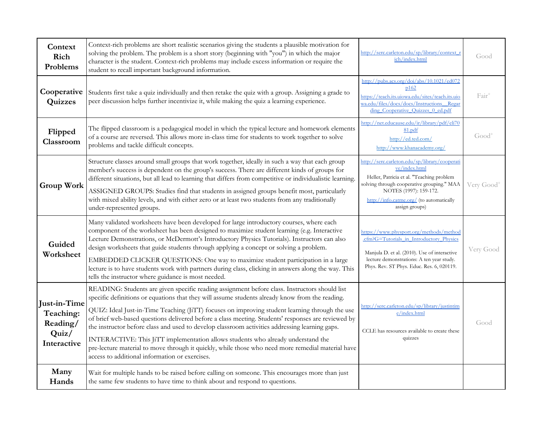| Context<br>Rich<br>Problems                                   | Context-rich problems are short realistic scenarios giving the students a plausible motivation for<br>solving the problem. The problem is a short story (beginning with "you") in which the major<br>character is the student. Context-rich problems may include excess information or require the<br>student to recall important background information.                                                                                                                                                                                                                                                                                                                                                                                             | http://serc.carleton.edu/sp/library/context_r<br>ich/index.html                                                                                                                                                                                   | Good                   |
|---------------------------------------------------------------|-------------------------------------------------------------------------------------------------------------------------------------------------------------------------------------------------------------------------------------------------------------------------------------------------------------------------------------------------------------------------------------------------------------------------------------------------------------------------------------------------------------------------------------------------------------------------------------------------------------------------------------------------------------------------------------------------------------------------------------------------------|---------------------------------------------------------------------------------------------------------------------------------------------------------------------------------------------------------------------------------------------------|------------------------|
| Cooperative<br>Quizzes                                        | Students first take a quiz individually and then retake the quiz with a group. Assigning a grade to<br>peer discussion helps further incentivize it, while making the quiz a learning experience.                                                                                                                                                                                                                                                                                                                                                                                                                                                                                                                                                     | http://pubs.acs.org/doi/abs/10.1021/ed072<br>p162<br>https://teach.its.ujowa.edu/sites/teach.its.ujo<br>wa.edu/files/docs/docs/Instructions Regar<br>ding Cooperative Quizzes 0 ed.pdf                                                            | Fair                   |
| Flipped<br>Classroom                                          | The flipped classroom is a pedagogical model in which the typical lecture and homework elements<br>of a course are reversed. This allows more in-class time for students to work together to solve<br>problems and tackle difficult concepts.                                                                                                                                                                                                                                                                                                                                                                                                                                                                                                         | http://net.educause.edu/ir/library/pdf/eli70<br>81.pdf<br>http://ed.ted.com/<br>http://www.khanacademy.org/                                                                                                                                       | Good <sup>+</sup>      |
| <b>Group Work</b>                                             | Structure classes around small groups that work together, ideally in such a way that each group<br>member's success is dependent on the group's success. There are different kinds of groups for<br>different situations, but all lead to learning that differs from competitive or individualistic learning.<br>ASSIGNED GROUPS: Studies find that students in assigned groups benefit most, particularly<br>with mixed ability levels, and with either zero or at least two students from any traditionally<br>under-represented groups.                                                                                                                                                                                                            | http://serc.carleton.edu/sp/library/cooperati<br>ve/index.html<br>Heller, Patricia et al. "Teaching problem<br>solving through cooperative grouping." MAA<br>NOTES (1997): 159-172.<br>http://info.catme.org/ (to automatically<br>assign groups) | Very Good <sup>+</sup> |
| Guided<br>Worksheet                                           | Many validated worksheets have been developed for large introductory courses, where each<br>component of the worksheet has been designed to maximize student learning (e.g. Interactive<br>Lecture Demonstrations, or McDermott's Introductory Physics Tutorials). Instructors can also<br>design worksheets that guide students through applying a concept or solving a problem.<br>EMBEDDED CLICKER QUESTIONS: One way to maximize student participation in a large<br>lecture is to have students work with partners during class, clicking in answers along the way. This<br>tells the instructor where guidance is most needed.                                                                                                                  | https://www.physport.org/methods/method<br>.cfm?G=Tutorials_in_Introductory_Physics<br>Manjula D. et al. (2010). Use of interactive<br>lecture demonstrations: A ten year study.<br>Phys. Rev. ST Phys. Educ. Res. 6, 020119.                     | Very Good              |
| Just-in-Time<br>Teaching:<br>Reading/<br>Quiz/<br>Interactive | READING: Students are given specific reading assignment before class. Instructors should list<br>specific definitions or equations that they will assume students already know from the reading.<br>QUIZ: Ideal Just-in-Time Teaching (JiTT) focuses on improving student learning through the use<br>of brief web-based questions delivered before a class meeting. Students' responses are reviewed by<br>the instructor before class and used to develop classroom activities addressing learning gaps.<br>INTERACTIVE: This JiTT implementation allows students who already understand the<br>pre-lecture material to move through it quickly, while those who need more remedial material have<br>access to additional information or exercises. | http://serc.carleton.edu/sp/library/justintim<br>e/index.html<br>CCLE has resources available to create these<br>quizzes                                                                                                                          | Good                   |
| Many<br>Hands                                                 | Wait for multiple hands to be raised before calling on someone. This encourages more than just<br>the same few students to have time to think about and respond to questions.                                                                                                                                                                                                                                                                                                                                                                                                                                                                                                                                                                         |                                                                                                                                                                                                                                                   |                        |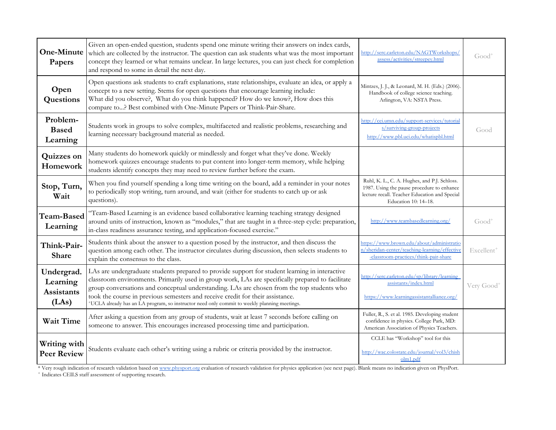| One-Minute<br>Papers                                 | Given an open-ended question, students spend one minute writing their answers on index cards,<br>which are collected by the instructor. The question can ask students what was the most important<br>concept they learned or what remains unclear. In large lectures, you can just check for completion<br>and respond to some in detail the next day.                                                                                                                                          | http://serc.carleton.edu/NAGTWorkshops/<br>assess/activities/streepey.html                                                                                          | $Good+$                |
|------------------------------------------------------|-------------------------------------------------------------------------------------------------------------------------------------------------------------------------------------------------------------------------------------------------------------------------------------------------------------------------------------------------------------------------------------------------------------------------------------------------------------------------------------------------|---------------------------------------------------------------------------------------------------------------------------------------------------------------------|------------------------|
| Open<br>Questions                                    | Open questions ask students to craft explanations, state relationships, evaluate an idea, or apply a<br>concept to a new setting. Stems for open questions that encourage learning include:<br>What did you observe?, What do you think happened? How do we know?, How does this<br>compare to? Best combined with One-Minute Papers or Think-Pair-Share.                                                                                                                                       | Mintzes, J. J., & Leonard, M. H. (Eds.) (2006).<br>Handbook of college science teaching.<br>Arlington, VA: NSTA Press.                                              |                        |
| Problem-<br><b>Based</b><br>Learning                 | Students work in groups to solve complex, multifaceted and realistic problems, researching and<br>learning necessary background material as needed.                                                                                                                                                                                                                                                                                                                                             | http://cei.umn.edu/support-services/tutorial<br>s/surviving-group-projects<br>http://www.pbl.uci.edu/whatispbl.html                                                 | Good                   |
| Quizzes on<br>Homework                               | Many students do homework quickly or mindlessly and forget what they've done. Weekly<br>homework quizzes encourage students to put content into longer-term memory, while helping<br>students identify concepts they may need to review further before the exam.                                                                                                                                                                                                                                |                                                                                                                                                                     |                        |
| Stop, Turn,<br>Wait                                  | When you find yourself spending a long time writing on the board, add a reminder in your notes<br>to periodically stop writing, turn around, and wait (either for students to catch up or ask<br>questions).                                                                                                                                                                                                                                                                                    | Ruhl, K. L., C. A. Hughes, and P.J. Schloss.<br>1987. Using the pause procedure to enhance<br>lecture recall. Teacher Education and Special<br>Education 10: 14-18. |                        |
| Team-Based<br>Learning                               | "Team-Based Learning is an evidence based collaborative learning teaching strategy designed<br>around units of instruction, known as "modules," that are taught in a three-step cycle: preparation,<br>in-class readiness assurance testing, and application-focused exercise."                                                                                                                                                                                                                 | http://www.teambasedlearning.org/                                                                                                                                   | $Good+$                |
| Think-Pair-<br>Share                                 | Students think about the answer to a question posed by the instructor, and then discuss the<br>question among each other. The instructor circulates during discussion, then selects students to<br>explain the consensus to the class.                                                                                                                                                                                                                                                          | https://www.brown.edu/about/administratio<br>n/sheridan-center/teaching-learning/effective<br>-classroom-practices/think-pair-share                                 | Excellent <sup>1</sup> |
| Undergrad.<br>Learning<br><b>Assistants</b><br>(LAs) | LAs are undergraduate students prepared to provide support for student learning in interactive<br>classroom environments. Primarily used in group work, LAs are specifically prepared to facilitate<br>group conversations and conceptual understanding. LAs are chosen from the top students who<br>took the course in previous semesters and receive credit for their assistance.<br><sup>+</sup> UCLA already has an LA program, so instructor need only commit to weekly planning meetings. | http://serc.carleton.edu/sp/library/learning<br>assistants/index.html<br>https://www.learningassistantalliance.org/                                                 | Very Good <sup>+</sup> |
| <b>Wait Time</b>                                     | After asking a question from any group of students, wait at least 7 seconds before calling on<br>someone to answer. This encourages increased processing time and participation.                                                                                                                                                                                                                                                                                                                | Fuller, R., S. et al. 1985. Developing student<br>confidence in physics. College Park, MD:<br>American Association of Physics Teachers.                             |                        |
| Writing with<br><b>Peer Review</b>                   | Students evaluate each other's writing using a rubric or criteria provided by the instructor.                                                                                                                                                                                                                                                                                                                                                                                                   | CCLE has "Workshop" tool for this<br>http://wac.colostate.edu/journal/vol3/chish<br>olm1.pdf                                                                        |                        |

\* Very rough indication of research validation based on [www.physport.org](http://www.physport.org/) evaluation of research validation for physics application (see next page). Blank means no indication given on PhysPort.<br>+ Indicates CEILS staff asses